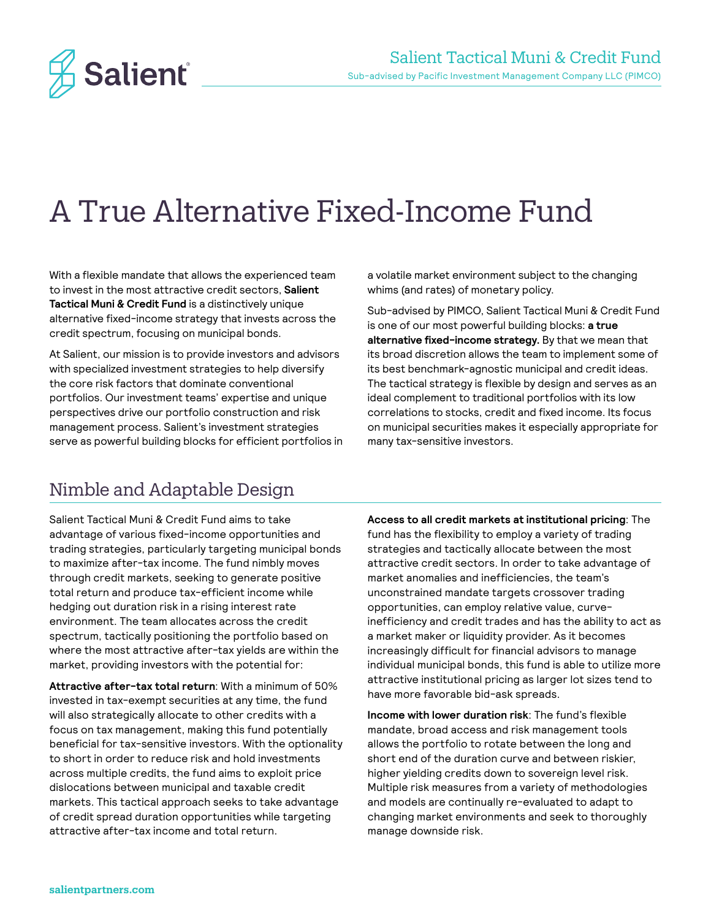

# A True Alternative Fixed-Income Fund

With a flexible mandate that allows the experienced team to invest in the most attractive credit sectors, **Salient Tactical Muni & Credit Fund** is a distinctively unique alternative fixed-income strategy that invests across the credit spectrum, focusing on municipal bonds.

At Salient, our mission is to provide investors and advisors with specialized investment strategies to help diversify the core risk factors that dominate conventional portfolios. Our investment teams' expertise and unique perspectives drive our portfolio construction and risk management process. Salient's investment strategies serve as powerful building blocks for efficient portfolios in a volatile market environment subject to the changing whims (and rates) of monetary policy.

Sub-advised by PIMCO, Salient Tactical Muni & Credit Fund is one of our most powerful building blocks: **a true alternative fixed-income strategy.** By that we mean that its broad discretion allows the team to implement some of its best benchmark-agnostic municipal and credit ideas. The tactical strategy is flexible by design and serves as an ideal complement to traditional portfolios with its low correlations to stocks, credit and fixed income. Its focus on municipal securities makes it especially appropriate for many tax-sensitive investors.

### Nimble and Adaptable Design

Salient Tactical Muni & Credit Fund aims to take advantage of various fixed-income opportunities and trading strategies, particularly targeting municipal bonds to maximize after-tax income. The fund nimbly moves through credit markets, seeking to generate positive total return and produce tax-efficient income while hedging out duration risk in a rising interest rate environment. The team allocates across the credit spectrum, tactically positioning the portfolio based on where the most attractive after-tax yields are within the market, providing investors with the potential for:

**Attractive after-tax total return**: With a minimum of 50% invested in tax-exempt securities at any time, the fund will also strategically allocate to other credits with a focus on tax management, making this fund potentially beneficial for tax-sensitive investors. With the optionality to short in order to reduce risk and hold investments across multiple credits, the fund aims to exploit price dislocations between municipal and taxable credit markets. This tactical approach seeks to take advantage of credit spread duration opportunities while targeting attractive after-tax income and total return.

**Access to all credit markets at institutional pricing**: The fund has the flexibility to employ a variety of trading strategies and tactically allocate between the most attractive credit sectors. In order to take advantage of market anomalies and inefficiencies, the team's unconstrained mandate targets crossover trading opportunities, can employ relative value, curveinefficiency and credit trades and has the ability to act as a market maker or liquidity provider. As it becomes increasingly difficult for financial advisors to manage individual municipal bonds, this fund is able to utilize more attractive institutional pricing as larger lot sizes tend to have more favorable bid-ask spreads.

**Income with lower duration risk**: The fund's flexible mandate, broad access and risk management tools allows the portfolio to rotate between the long and short end of the duration curve and between riskier, higher yielding credits down to sovereign level risk. Multiple risk measures from a variety of methodologies and models are continually re-evaluated to adapt to changing market environments and seek to thoroughly manage downside risk.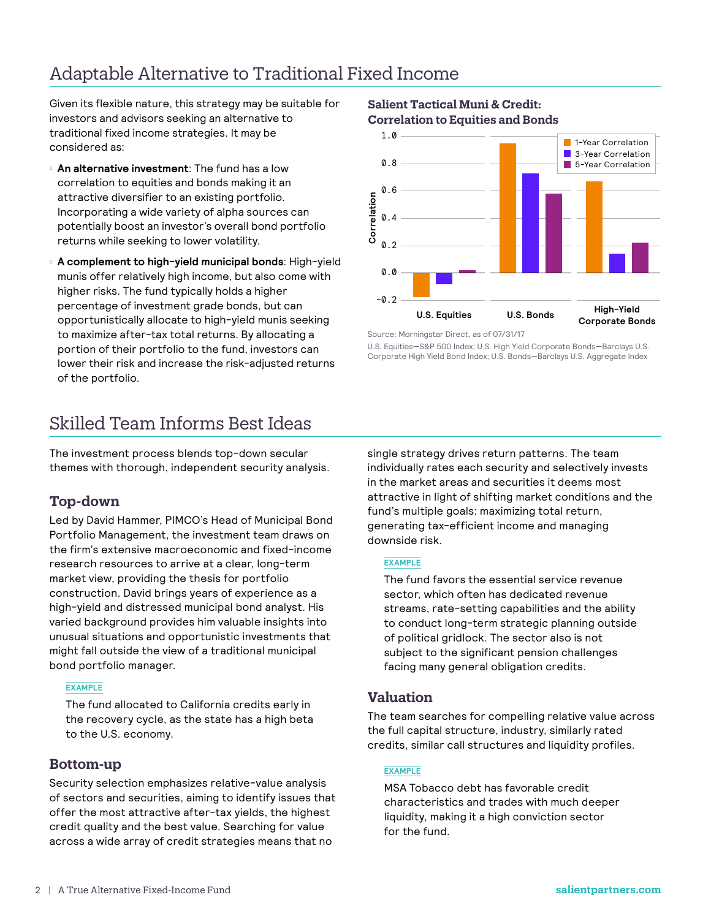# Adaptable Alternative to Traditional Fixed Income

Given its flexible nature, this strategy may be suitable for investors and advisors seeking an alternative to traditional fixed income strategies. It may be considered as:

**An alternative investment**: The fund has a low correlation to equities and bonds making it an attractive diversifier to an existing portfolio. Incorporating a wide variety of alpha sources can potentially boost an investor's overall bond portfolio returns while seeking to lower volatility.

**A complement to high-yield municipal bonds**: High-yield munis offer relatively high income, but also come with higher risks. The fund typically holds a higher percentage of investment grade bonds, but can opportunistically allocate to high-yield munis seeking to maximize after-tax total returns. By allocating a portion of their portfolio to the fund, investors can lower their risk and increase the risk-adjusted returns of the portfolio.

## Skilled Team Informs Best Ideas

The investment process blends top-down secular themes with thorough, independent security analysis.

### **Top-down**

Led by David Hammer, PIMCO's Head of Municipal Bond Portfolio Management, the investment team draws on the firm's extensive macroeconomic and fixed-income research resources to arrive at a clear, long-term market view, providing the thesis for portfolio construction. David brings years of experience as a high-yield and distressed municipal bond analyst. His varied background provides him valuable insights into unusual situations and opportunistic investments that might fall outside the view of a traditional municipal bond portfolio manager.

#### **EXAMPLE**

The fund allocated to California credits early in the recovery cycle, as the state has a high beta to the U.S. economy.

### **Bottom-up**

Security selection emphasizes relative-value analysis of sectors and securities, aiming to identify issues that offer the most attractive after-tax yields, the highest credit quality and the best value. Searching for value across a wide array of credit strategies means that no

#### **Salient Tactical Muni & Credit: Correlation to Equities and Bonds**



Source: Morningstar Direct, as of 07/31/17

U.S. Equities—S&P 500 Index; U.S. High Yield Corporate Bonds—Barclays U.S. Corporate High Yield Bond Index; U.S. Bonds—Barclays U.S. Aggregate Index

single strategy drives return patterns. The team individually rates each security and selectively invests in the market areas and securities it deems most attractive in light of shifting market conditions and the fund's multiple goals: maximizing total return, generating tax-efficient income and managing downside risk.

#### **EXAMPLE**

The fund favors the essential service revenue sector, which often has dedicated revenue streams, rate-setting capabilities and the ability to conduct long-term strategic planning outside of political gridlock. The sector also is not subject to the significant pension challenges facing many general obligation credits.

### **Valuation**

The team searches for compelling relative value across the full capital structure, industry, similarly rated credits, similar call structures and liquidity profiles.

#### **EXAMPLE**

MSA Tobacco debt has favorable credit characteristics and trades with much deeper liquidity, making it a high conviction sector for the fund.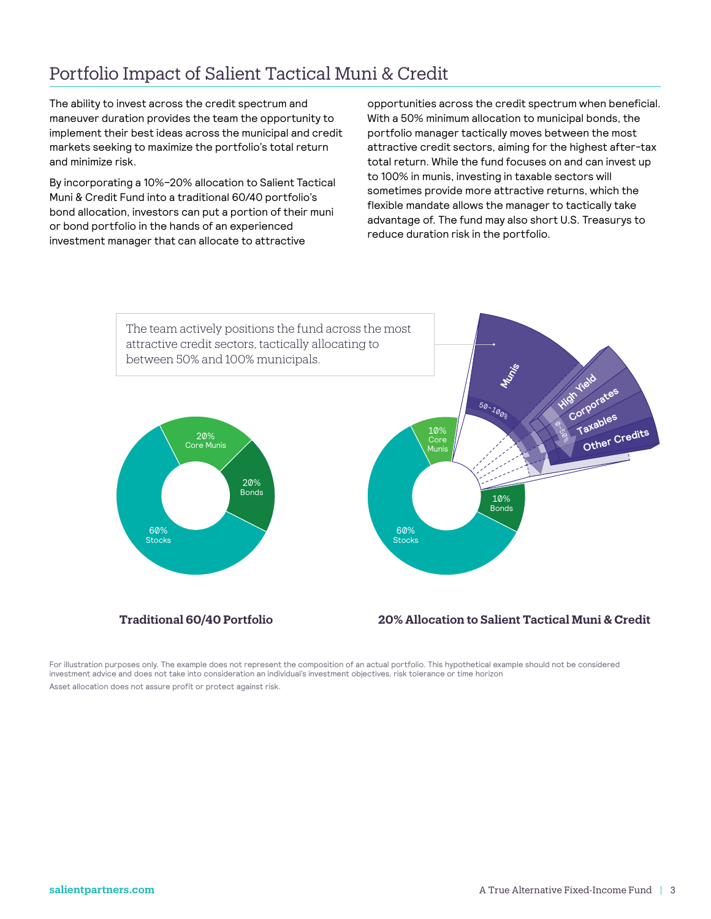## Portfolio Impact of Salient Tactical Muni & Credit

The ability to invest across the credit spectrum and maneuver duration provides the team the opportunity to implement their best ideas across the municipal and credit markets seeking to maximize the portfolio's total return and minimize risk.

By incorporating a 10%–20% allocation to Salient Tactical Muni & Credit Fund into a traditional 60/40 portfolio's bond allocation, investors can put a portion of their muni or bond portfolio in the hands of an experienced investment manager that can allocate to attractive

opportunities across the credit spectrum when beneficial. With a 50% minimum allocation to municipal bonds, the portfolio manager tactically moves between the most attractive credit sectors, aiming for the highest after-tax total return. While the fund focuses on and can invest up to 100% in munis, investing in taxable sectors will sometimes provide more attractive returns, which the flexible mandate allows the manager to tactically take advantage of. The fund may also short U.S. Treasurys to reduce duration risk in the portfolio.



For illustration purposes only. The example does not represent the composition of an actual portfolio. This hypothetical example should not be considered investment advice and does not take into consideration an individual's investment objectives, risk tolerance or time horizon Asset allocation does not assure profit or protect against risk.